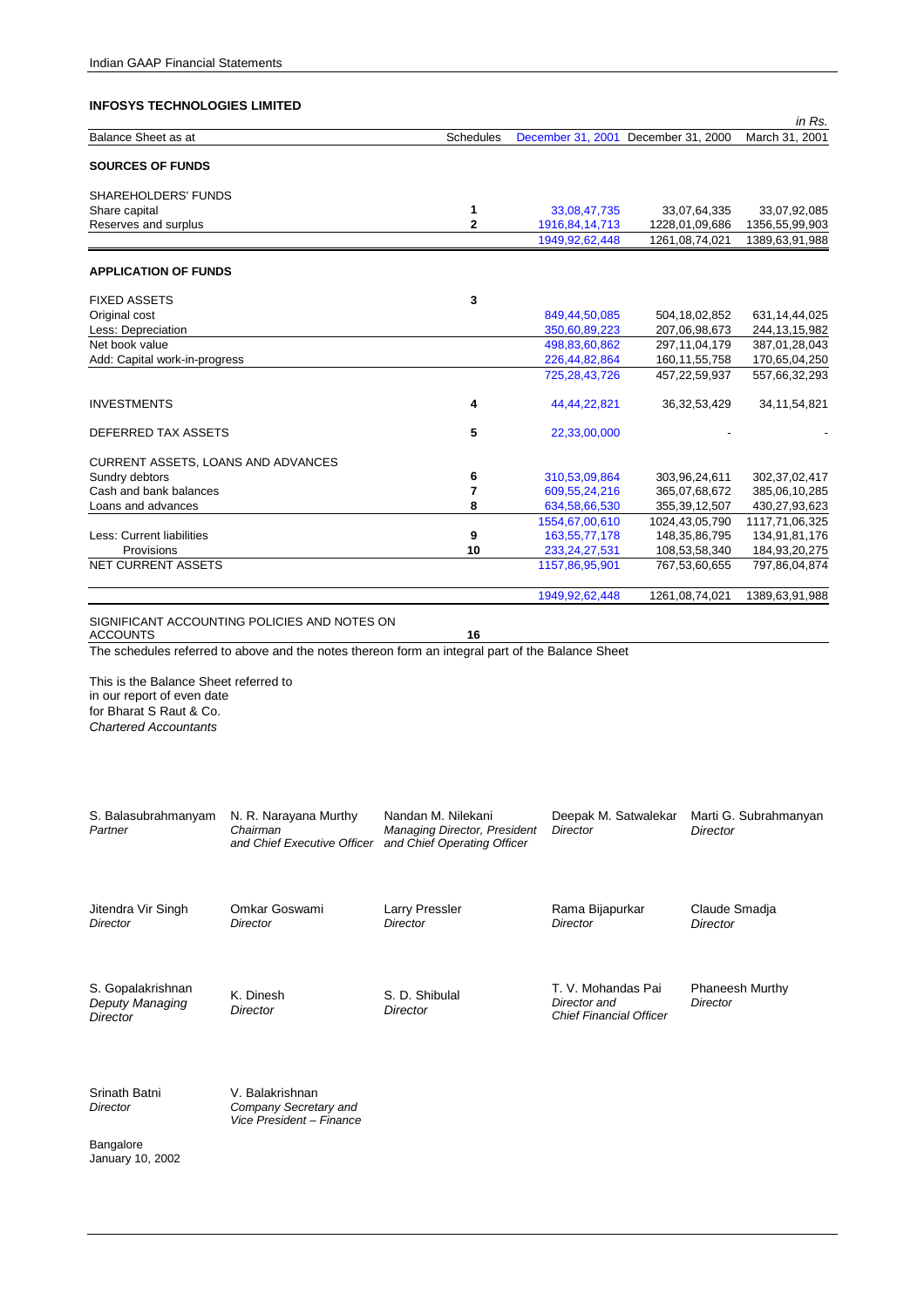|                                                                                                                                |                                                                                                  |                                                                                   |                                                                      |                                     | in Rs.                 |
|--------------------------------------------------------------------------------------------------------------------------------|--------------------------------------------------------------------------------------------------|-----------------------------------------------------------------------------------|----------------------------------------------------------------------|-------------------------------------|------------------------|
| Balance Sheet as at                                                                                                            |                                                                                                  | Schedules                                                                         |                                                                      | December 31, 2001 December 31, 2000 | March 31, 2001         |
| <b>SOURCES OF FUNDS</b>                                                                                                        |                                                                                                  |                                                                                   |                                                                      |                                     |                        |
| SHAREHOLDERS' FUNDS                                                                                                            |                                                                                                  |                                                                                   |                                                                      |                                     |                        |
| Share capital                                                                                                                  |                                                                                                  | 1                                                                                 | 33,08,47,735                                                         | 33,07,64,335                        | 33,07,92,085           |
| Reserves and surplus                                                                                                           |                                                                                                  | 2                                                                                 | 1916, 84, 14, 713                                                    | 1228,01,09,686                      | 1356,55,99,903         |
|                                                                                                                                |                                                                                                  |                                                                                   | 1949, 92, 62, 448                                                    | 1261,08,74,021                      | 1389,63,91,988         |
| <b>APPLICATION OF FUNDS</b>                                                                                                    |                                                                                                  |                                                                                   |                                                                      |                                     |                        |
| <b>FIXED ASSETS</b>                                                                                                            |                                                                                                  | 3                                                                                 |                                                                      |                                     |                        |
| Original cost                                                                                                                  |                                                                                                  |                                                                                   | 849,44,50,085                                                        | 504, 18, 02, 852                    | 631, 14, 44, 025       |
| Less: Depreciation                                                                                                             |                                                                                                  |                                                                                   | 350,60,89,223                                                        | 207,06,98,673                       | 244, 13, 15, 982       |
| Net book value                                                                                                                 |                                                                                                  |                                                                                   | 498,83,60,862                                                        | 297, 11, 04, 179                    | 387,01,28,043          |
| Add: Capital work-in-progress                                                                                                  |                                                                                                  |                                                                                   | 226,44,82,864                                                        | 160, 11, 55, 758                    | 170,65,04,250          |
|                                                                                                                                |                                                                                                  |                                                                                   | 725, 28, 43, 726                                                     | 457,22,59,937                       | 557,66,32,293          |
|                                                                                                                                |                                                                                                  |                                                                                   |                                                                      |                                     |                        |
| <b>INVESTMENTS</b>                                                                                                             |                                                                                                  | 4                                                                                 | 44,44,22,821                                                         | 36, 32, 53, 429                     | 34, 11, 54, 821        |
| DEFERRED TAX ASSETS                                                                                                            |                                                                                                  | 5                                                                                 | 22,33,00,000                                                         |                                     |                        |
| CURRENT ASSETS, LOANS AND ADVANCES                                                                                             |                                                                                                  |                                                                                   |                                                                      |                                     |                        |
| Sundry debtors                                                                                                                 |                                                                                                  | 6                                                                                 | 310,53,09,864                                                        | 303,96,24,611                       | 302, 37, 02, 417       |
| Cash and bank balances                                                                                                         |                                                                                                  | 7                                                                                 | 609, 55, 24, 216                                                     | 365,07,68,672                       | 385,06,10,285          |
| Loans and advances                                                                                                             |                                                                                                  | 8                                                                                 | 634,58,66,530                                                        | 355, 39, 12, 507                    | 430,27,93,623          |
|                                                                                                                                |                                                                                                  |                                                                                   | 1554,67,00,610                                                       | 1024,43,05,790                      | 1117,71,06,325         |
| Less: Current liabilities                                                                                                      |                                                                                                  | 9                                                                                 | 163, 55, 77, 178                                                     | 148, 35, 86, 795                    | 134,91,81,176          |
| Provisions                                                                                                                     |                                                                                                  | 10                                                                                | 233, 24, 27, 531                                                     | 108,53,58,340                       | 184,93,20,275          |
| <b>NET CURRENT ASSETS</b>                                                                                                      |                                                                                                  |                                                                                   | 1157,86,95,901                                                       | 767,53,60,655                       | 797,86,04,874          |
|                                                                                                                                |                                                                                                  |                                                                                   | 1949, 92, 62, 448                                                    | 1261,08,74,021                      | 1389,63,91,988         |
|                                                                                                                                |                                                                                                  |                                                                                   |                                                                      |                                     |                        |
| <b>ACCOUNTS</b>                                                                                                                | SIGNIFICANT ACCOUNTING POLICIES AND NOTES ON                                                     | 16                                                                                |                                                                      |                                     |                        |
|                                                                                                                                | The schedules referred to above and the notes thereon form an integral part of the Balance Sheet |                                                                                   |                                                                      |                                     |                        |
| This is the Balance Sheet referred to<br>in our report of even date<br>for Bharat S Raut & Co.<br><b>Chartered Accountants</b> |                                                                                                  |                                                                                   |                                                                      |                                     |                        |
| S. Balasubrahmanyam<br>Partner                                                                                                 | N. R. Narayana Murthy<br>Chairman<br>and Chief Executive Officer                                 | Nandan M. Nilekani<br>Managing Director, President<br>and Chief Operating Officer | Deepak M. Satwalekar<br><b>Director</b>                              | Director                            | Marti G. Subrahmanyan  |
| Jitendra Vir Singh<br>Director                                                                                                 | Omkar Goswami<br><b>Director</b>                                                                 | <b>Larry Pressler</b><br><b>Director</b>                                          | Rama Bijapurkar<br>Director                                          | Claude Smadja<br><b>Director</b>    |                        |
| S. Gopalakrishnan<br>Deputy Managing<br>Director                                                                               | K. Dinesh<br>Director                                                                            | S. D. Shibulal<br>Director                                                        | T. V. Mohandas Pai<br>Director and<br><b>Chief Financial Officer</b> | Director                            | <b>Phaneesh Murthy</b> |

Srinath Batni *Director* 

V. Balakrishnan *Company Secretary and Vice President – Finance*

Bangalore January 10, 2002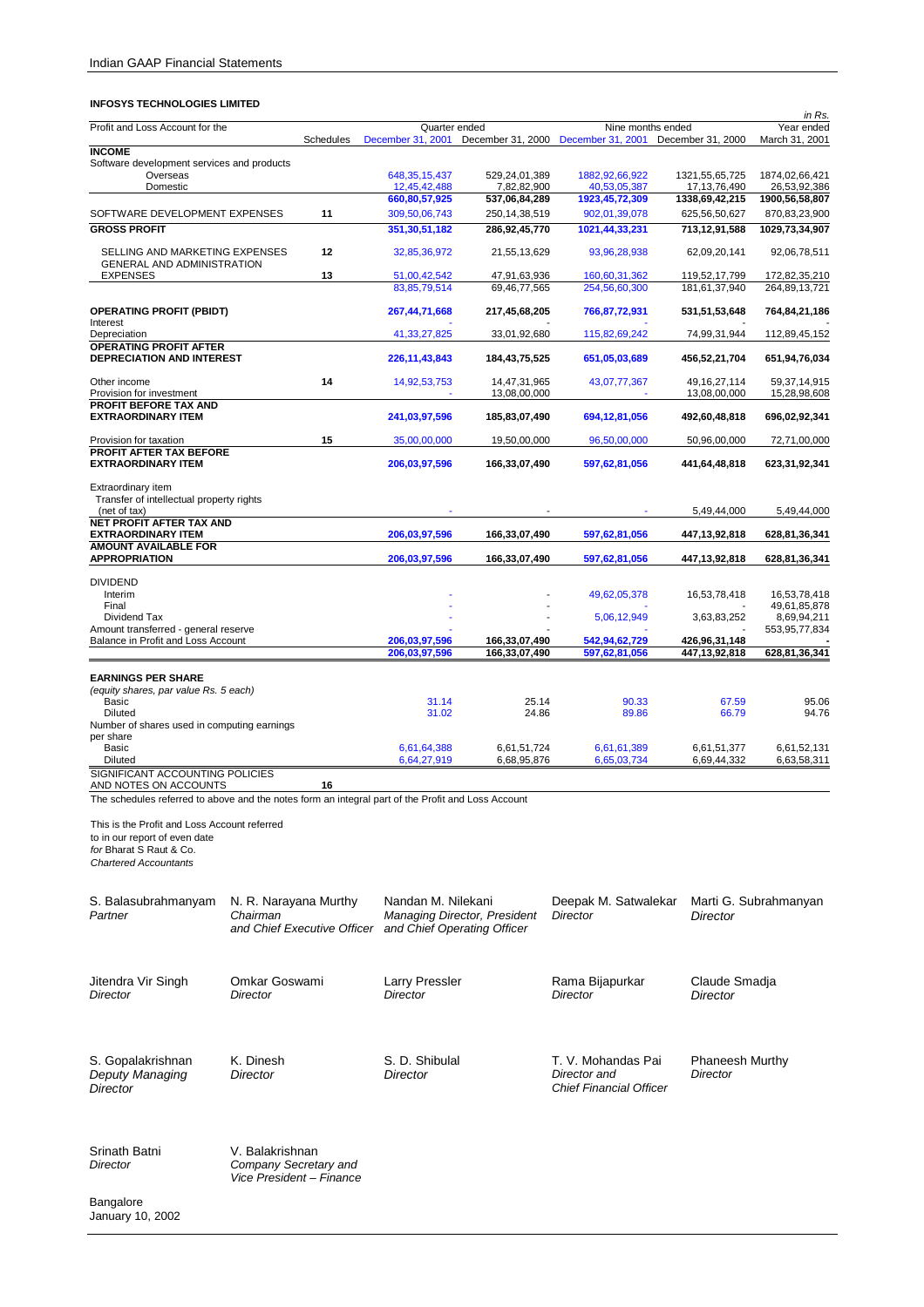| <u>oo is technoeogies er</u>                                                                       |                             |                  |                                    |                              |                                                          |                                   | in Rs.                         |
|----------------------------------------------------------------------------------------------------|-----------------------------|------------------|------------------------------------|------------------------------|----------------------------------------------------------|-----------------------------------|--------------------------------|
| Profit and Loss Account for the                                                                    |                             | <b>Schedules</b> | Quarter ended<br>December 31, 2001 |                              | Nine months ended<br>December 31, 2000 December 31, 2001 | December 31, 2000                 | Year ended<br>March 31, 2001   |
| <b>INCOME</b>                                                                                      |                             |                  |                                    |                              |                                                          |                                   |                                |
| Software development services and products                                                         |                             |                  |                                    |                              |                                                          |                                   |                                |
| Overseas<br>Domestic                                                                               |                             |                  | 648, 35, 15, 437<br>12,45,42,488   | 529,24,01,389<br>7,82,82,900 | 1882, 92, 66, 922<br>40,53,05,387                        | 1321,55,65,725<br>17, 13, 76, 490 | 1874,02,66,421<br>26,53,92,386 |
|                                                                                                    |                             |                  | 660,80,57,925                      | 537,06,84,289                | 1923,45,72,309                                           | 1338,69,42,215                    | 1900,56,58,807                 |
| SOFTWARE DEVELOPMENT EXPENSES                                                                      |                             | 11               | 309,50,06,743                      | 250, 14, 38, 519             | 902,01,39,078                                            | 625,56,50,627                     | 870, 83, 23, 900               |
| <b>GROSS PROFIT</b>                                                                                |                             |                  | 351, 30, 51, 182                   | 286,92,45,770                | 1021,44,33,231                                           | 713,12,91,588                     | 1029,73,34,907                 |
| SELLING AND MARKETING EXPENSES                                                                     |                             | 12               | 32,85,36,972                       | 21,55,13,629                 | 93,96,28,938                                             | 62,09,20,141                      | 92,06,78,511                   |
| <b>GENERAL AND ADMINISTRATION</b><br><b>EXPENSES</b>                                               |                             | 13               | 51,00,42,542                       | 47,91,63,936                 | 160,60,31,362                                            | 119,52,17,799                     | 172,82,35,210                  |
|                                                                                                    |                             |                  | 83, 85, 79, 514                    | 69,46,77,565                 | 254,56,60,300                                            | 181, 61, 37, 940                  | 264,89,13,721                  |
| <b>OPERATING PROFIT (PBIDT)</b>                                                                    |                             |                  | 267,44,71,668                      | 217,45,68,205                | 766,87,72,931                                            | 531,51,53,648                     | 764,84,21,186                  |
| Interest<br>Depreciation                                                                           |                             |                  | 41, 33, 27, 825                    | 33,01,92,680                 | 115,82,69,242                                            | 74,99,31,944                      | 112,89,45,152                  |
| <b>OPERATING PROFIT AFTER</b>                                                                      |                             |                  |                                    |                              |                                                          |                                   |                                |
| DEPRECIATION AND INTEREST                                                                          |                             |                  | 226, 11, 43, 843                   | 184,43,75,525                | 651,05,03,689                                            | 456,52,21,704                     | 651,94,76,034                  |
| Other income<br>Provision for investment                                                           |                             | 14               | 14,92,53,753                       | 14,47,31,965<br>13,08,00,000 | 43,07,77,367                                             | 49, 16, 27, 114<br>13,08,00,000   | 59,37,14,915<br>15,28,98,608   |
| <b>PROFIT BEFORE TAX AND</b><br><b>EXTRAORDINARY ITEM</b>                                          |                             |                  | 241,03,97,596                      | 185,83,07,490                | 694,12,81,056                                            | 492,60,48,818                     | 696,02,92,341                  |
| Provision for taxation                                                                             |                             | 15               | 35,00,00,000                       | 19,50,00,000                 | 96,50,00,000                                             | 50,96,00,000                      | 72,71,00,000                   |
| PROFIT AFTER TAX BEFORE                                                                            |                             |                  |                                    |                              |                                                          |                                   |                                |
| <b>EXTRAORDINARY ITEM</b>                                                                          |                             |                  | 206,03,97,596                      | 166,33,07,490                | 597,62,81,056                                            | 441,64,48,818                     | 623,31,92,341                  |
| Extraordinary item<br>Transfer of intellectual property rights                                     |                             |                  |                                    |                              |                                                          |                                   |                                |
| (net of tax)                                                                                       |                             |                  |                                    |                              |                                                          | 5,49,44,000                       | 5,49,44,000                    |
| NET PROFIT AFTER TAX AND                                                                           |                             |                  |                                    |                              |                                                          |                                   |                                |
| <b>EXTRAORDINARY ITEM</b><br><b>AMOUNT AVAILABLE FOR</b>                                           |                             |                  | 206,03,97,596                      | 166,33,07,490                | 597,62,81,056                                            | 447,13,92,818                     | 628,81,36,341                  |
| <b>APPROPRIATION</b>                                                                               |                             |                  | 206,03,97,596                      | 166,33,07,490                | 597,62,81,056                                            | 447,13,92,818                     | 628,81,36,341                  |
| <b>DIVIDEND</b>                                                                                    |                             |                  |                                    |                              |                                                          |                                   |                                |
| Interim                                                                                            |                             |                  |                                    |                              | 49,62,05,378                                             | 16,53,78,418                      | 16,53,78,418                   |
| Final<br>Dividend Tax                                                                              |                             |                  |                                    |                              | 5,06,12,949                                              | 3,63,83,252                       | 49,61,85,878<br>8,69,94,211    |
| Amount transferred - general reserve                                                               |                             |                  |                                    |                              |                                                          |                                   | 553,95,77,834                  |
| Balance in Profit and Loss Account                                                                 |                             |                  | 206,03,97,596                      | 166,33,07,490                | 542,94,62,729                                            | 426,96,31,148                     |                                |
|                                                                                                    |                             |                  | 206,03,97,596                      | 166,33,07,490                | 597,62,81,056                                            | 447,13,92,818                     | 628,81,36,341                  |
| <b>EARNINGS PER SHARE</b>                                                                          |                             |                  |                                    |                              |                                                          |                                   |                                |
| (equity shares, par value Rs. 5 each)                                                              |                             |                  |                                    |                              |                                                          |                                   |                                |
| Basic                                                                                              |                             |                  | 31.14                              | 25.14                        | 90.33                                                    | 67.59                             | 95.06                          |
| Diluted<br>Number of shares used in computing earnings                                             |                             |                  | 31.02                              | 24.86                        | 89.86                                                    | 66.79                             | 94.76                          |
| per share                                                                                          |                             |                  |                                    |                              |                                                          |                                   |                                |
| Basic                                                                                              |                             |                  | 6,61,64,388                        | 6,61,51,724                  | 6,61,61,389                                              | 6,61,51,377                       | 6,61,52,131                    |
| Diluted                                                                                            |                             |                  | 6,64,27,919                        | 6,68,95,876                  | 6,65,03,734                                              | 6,69,44,332                       | 6,63,58,311                    |
| SIGNIFICANT ACCOUNTING POLICIES<br>AND NOTES ON ACCOUNTS                                           |                             | 16               |                                    |                              |                                                          |                                   |                                |
| The schedules referred to above and the notes form an integral part of the Profit and Loss Account |                             |                  |                                    |                              |                                                          |                                   |                                |
|                                                                                                    |                             |                  |                                    |                              |                                                          |                                   |                                |
| This is the Profit and Loss Account referred                                                       |                             |                  |                                    |                              |                                                          |                                   |                                |
| to in our report of even date                                                                      |                             |                  |                                    |                              |                                                          |                                   |                                |
| for Bharat S Raut & Co.<br><b>Chartered Accountants</b>                                            |                             |                  |                                    |                              |                                                          |                                   |                                |
|                                                                                                    |                             |                  |                                    |                              |                                                          |                                   |                                |
|                                                                                                    |                             |                  |                                    |                              |                                                          |                                   |                                |
| S. Balasubrahmanyam                                                                                | N. R. Narayana Murthy       |                  | Nandan M. Nilekani                 |                              | Deepak M. Satwalekar                                     |                                   | Marti G. Subrahmanyan          |
| Partner                                                                                            | Chairman                    |                  | Managing Director, President       |                              | Director                                                 | Director                          |                                |
|                                                                                                    | and Chief Executive Officer |                  | and Chief Operating Officer        |                              |                                                          |                                   |                                |
|                                                                                                    |                             |                  |                                    |                              |                                                          |                                   |                                |
|                                                                                                    |                             |                  |                                    |                              |                                                          |                                   |                                |
| Jitendra Vir Singh                                                                                 | Omkar Goswami               |                  | <b>Larry Pressler</b>              |                              | Rama Bijapurkar                                          | Claude Smadja                     |                                |
| Director                                                                                           | Director                    |                  | Director                           |                              | <b>Director</b>                                          | Director                          |                                |
|                                                                                                    |                             |                  |                                    |                              |                                                          |                                   |                                |
|                                                                                                    |                             |                  |                                    |                              |                                                          |                                   |                                |
|                                                                                                    |                             |                  |                                    |                              |                                                          |                                   |                                |
| S. Gopalakrishnan                                                                                  | K. Dinesh                   |                  | S. D. Shibulal                     |                              | T. V. Mohandas Pai                                       | <b>Phaneesh Murthy</b>            |                                |
| Deputy Managing                                                                                    | Director                    |                  | Director                           |                              | Director and<br><b>Chief Financial Officer</b>           | Director                          |                                |
| Director                                                                                           |                             |                  |                                    |                              |                                                          |                                   |                                |
|                                                                                                    |                             |                  |                                    |                              |                                                          |                                   |                                |
|                                                                                                    |                             |                  |                                    |                              |                                                          |                                   |                                |

Srinath Batni *Director*  V. Balakrishnan *Company Secretary and Vice President – Finance*

Bangalore January 10, 2002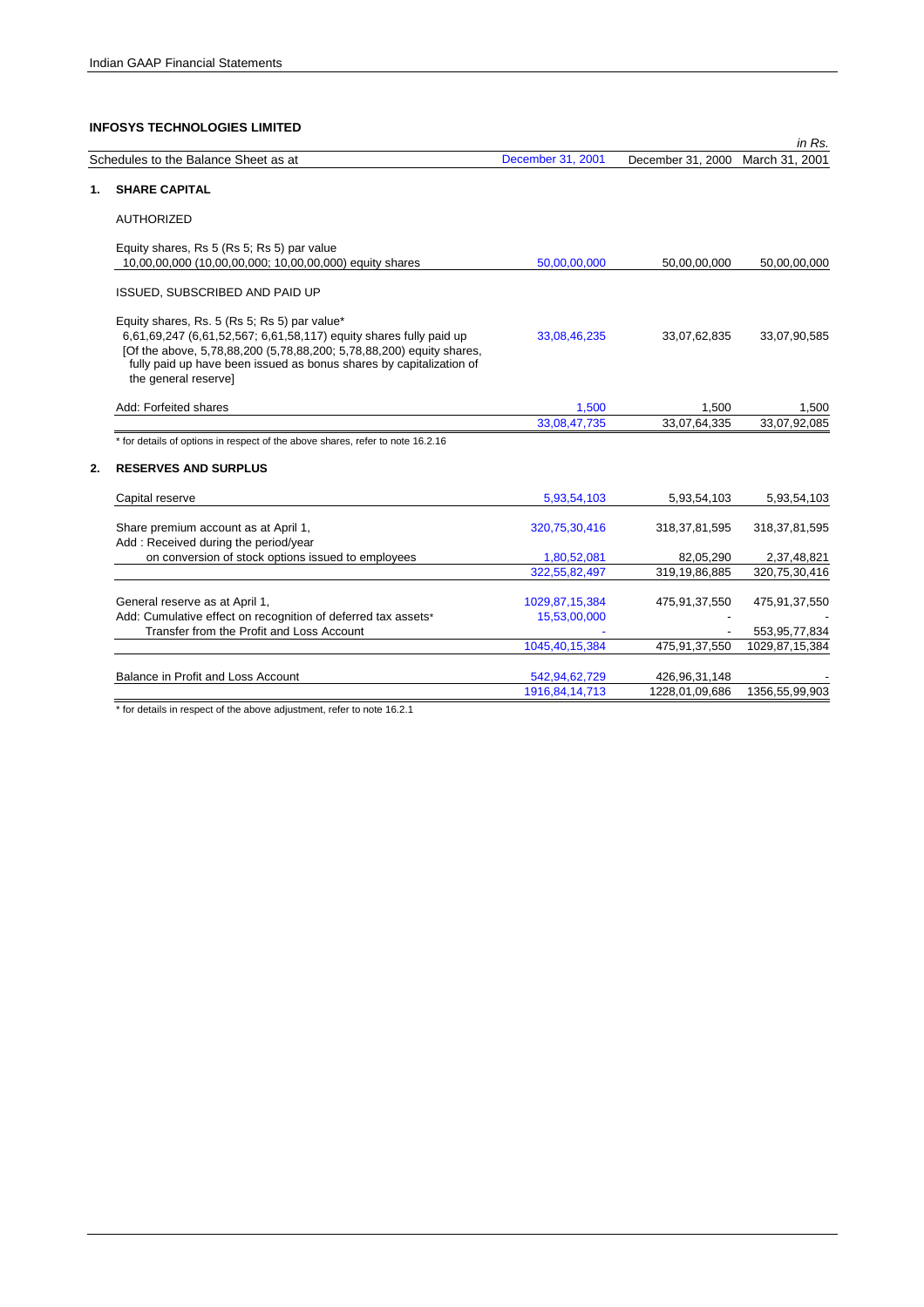|    |                                                                                                                                                                                                                                                                                           |                                |                   | in Rs.           |
|----|-------------------------------------------------------------------------------------------------------------------------------------------------------------------------------------------------------------------------------------------------------------------------------------------|--------------------------------|-------------------|------------------|
|    | Schedules to the Balance Sheet as at                                                                                                                                                                                                                                                      | December 31, 2001              | December 31, 2000 | March 31, 2001   |
| 1. | <b>SHARE CAPITAL</b>                                                                                                                                                                                                                                                                      |                                |                   |                  |
|    | <b>AUTHORIZED</b>                                                                                                                                                                                                                                                                         |                                |                   |                  |
|    | Equity shares, Rs 5 (Rs 5; Rs 5) par value<br>10,00,00,000 (10,00,00,000; 10,00,00,000) equity shares                                                                                                                                                                                     | 50,00,00,000                   | 50,00,00,000      | 50,00,00,000     |
|    | ISSUED, SUBSCRIBED AND PAID UP                                                                                                                                                                                                                                                            |                                |                   |                  |
|    | Equity shares, Rs. 5 (Rs 5; Rs 5) par value*<br>6,61,69,247 (6,61,52,567; 6,61,58,117) equity shares fully paid up<br>[Of the above, 5,78,88,200 (5,78,88,200; 5,78,88,200) equity shares,<br>fully paid up have been issued as bonus shares by capitalization of<br>the general reserve] | 33,08,46,235                   | 33,07,62,835      | 33,07,90,585     |
|    | Add: Forfeited shares                                                                                                                                                                                                                                                                     | 1,500                          | 1,500             | 1,500            |
|    |                                                                                                                                                                                                                                                                                           | 33,08,47,735                   | 33,07,64,335      | 33,07,92,085     |
|    | * for details of options in respect of the above shares, refer to note 16.2.16                                                                                                                                                                                                            |                                |                   |                  |
| 2. | <b>RESERVES AND SURPLUS</b>                                                                                                                                                                                                                                                               |                                |                   |                  |
|    | Capital reserve                                                                                                                                                                                                                                                                           | 5,93,54,103                    | 5,93,54,103       | 5,93,54,103      |
|    | Share premium account as at April 1,<br>Add: Received during the period/year                                                                                                                                                                                                              | 320,75,30,416                  | 318, 37, 81, 595  | 318, 37, 81, 595 |
|    | on conversion of stock options issued to employees                                                                                                                                                                                                                                        | 1,80,52,081                    | 82,05,290         | 2,37,48,821      |
|    |                                                                                                                                                                                                                                                                                           | 322,55,82,497                  | 319,19,86,885     | 320,75,30,416    |
|    | General reserve as at April 1,<br>Add: Cumulative effect on recognition of deferred tax assets*                                                                                                                                                                                           | 1029,87,15,384<br>15,53,00,000 | 475,91,37,550     | 475,91,37,550    |
|    | Transfer from the Profit and Loss Account                                                                                                                                                                                                                                                 |                                |                   | 553, 95, 77, 834 |
|    |                                                                                                                                                                                                                                                                                           | 1045,40,15,384                 | 475,91,37,550     | 1029,87,15,384   |
|    | Balance in Profit and Loss Account                                                                                                                                                                                                                                                        | 542,94,62,729                  | 426,96,31,148     |                  |
|    |                                                                                                                                                                                                                                                                                           | 1916.84.14.713                 | 1228.01.09.686    | 1356.55.99.903   |

\* for details in respect of the above adjustment, refer to note 16.2.1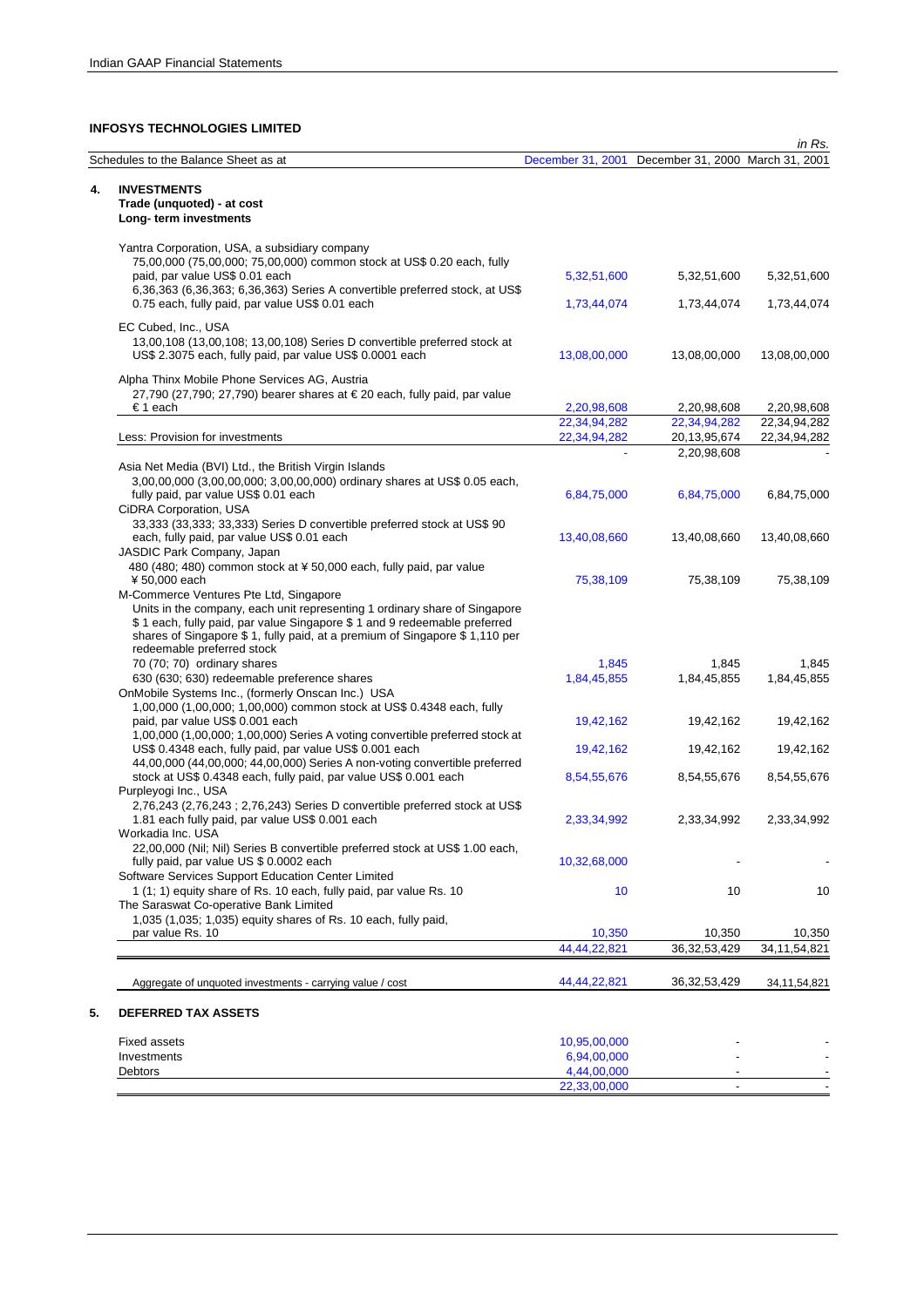|                                                                                                                                                                                                                                                                                                              |                   |                                  | in Rs.          |
|--------------------------------------------------------------------------------------------------------------------------------------------------------------------------------------------------------------------------------------------------------------------------------------------------------------|-------------------|----------------------------------|-----------------|
| Schedules to the Balance Sheet as at                                                                                                                                                                                                                                                                         | December 31, 2001 | December 31, 2000 March 31, 2001 |                 |
| 4.<br><b>INVESTMENTS</b><br>Trade (unquoted) - at cost                                                                                                                                                                                                                                                       |                   |                                  |                 |
| Long-term investments                                                                                                                                                                                                                                                                                        |                   |                                  |                 |
| Yantra Corporation, USA, a subsidiary company                                                                                                                                                                                                                                                                |                   |                                  |                 |
| 75,00,000 (75,00,000; 75,00,000) common stock at US\$ 0.20 each, fully<br>paid, par value US\$ 0.01 each                                                                                                                                                                                                     | 5,32,51,600       | 5,32,51,600                      | 5,32,51,600     |
| 6,36,363 (6,36,363; 6,36,363) Series A convertible preferred stock, at US\$<br>0.75 each, fully paid, par value US\$ 0.01 each                                                                                                                                                                               | 1,73,44,074       | 1,73,44,074                      | 1,73,44,074     |
| EC Cubed, Inc., USA<br>13,00,108 (13,00,108; 13,00,108) Series D convertible preferred stock at<br>US\$ 2.3075 each, fully paid, par value US\$ 0.0001 each                                                                                                                                                  | 13,08,00,000      | 13,08,00,000                     | 13,08,00,000    |
| Alpha Thinx Mobile Phone Services AG, Austria<br>27,790 (27,790; 27,790) bearer shares at €20 each, fully paid, par value                                                                                                                                                                                    |                   |                                  |                 |
| €1 each                                                                                                                                                                                                                                                                                                      | 2,20,98,608       | 2,20,98,608                      | 2,20,98,608     |
|                                                                                                                                                                                                                                                                                                              | 22,34,94,282      | 22,34,94,282                     | 22,34,94,282    |
| Less: Provision for investments                                                                                                                                                                                                                                                                              | 22,34,94,282      | 20, 13, 95, 674                  | 22,34,94,282    |
|                                                                                                                                                                                                                                                                                                              | u.                | 2,20,98,608                      |                 |
| Asia Net Media (BVI) Ltd., the British Virgin Islands<br>3,00,00,000 (3,00,00,000; 3,00,00,000) ordinary shares at US\$ 0.05 each,<br>fully paid, par value US\$ 0.01 each                                                                                                                                   | 6,84,75,000       | 6,84,75,000                      | 6,84,75,000     |
| CiDRA Corporation, USA<br>33,333 (33,333; 33,333) Series D convertible preferred stock at US\$ 90<br>each, fully paid, par value US\$ 0.01 each                                                                                                                                                              | 13,40,08,660      | 13,40,08,660                     | 13,40,08,660    |
| JASDIC Park Company, Japan<br>480 (480; 480) common stock at ¥ 50,000 each, fully paid, par value<br>¥ 50,000 each                                                                                                                                                                                           | 75,38,109         | 75,38,109                        | 75,38,109       |
| M-Commerce Ventures Pte Ltd, Singapore<br>Units in the company, each unit representing 1 ordinary share of Singapore<br>\$1 each, fully paid, par value Singapore \$1 and 9 redeemable preferred<br>shares of Singapore \$1, fully paid, at a premium of Singapore \$1,110 per<br>redeemable preferred stock |                   |                                  |                 |
| 70 (70; 70) ordinary shares                                                                                                                                                                                                                                                                                  | 1,845             | 1,845                            | 1,845           |
| 630 (630; 630) redeemable preference shares                                                                                                                                                                                                                                                                  | 1,84,45,855       | 1,84,45,855                      | 1,84,45,855     |
| OnMobile Systems Inc., (formerly Onscan Inc.) USA<br>1,00,000 (1,00,000; 1,00,000) common stock at US\$ 0.4348 each, fully<br>paid, par value US\$ 0.001 each                                                                                                                                                | 19,42,162         | 19,42,162                        | 19,42,162       |
| 1,00,000 (1,00,000; 1,00,000) Series A voting convertible preferred stock at<br>US\$ 0.4348 each, fully paid, par value US\$ 0.001 each                                                                                                                                                                      | 19,42,162         | 19,42,162                        | 19,42,162       |
| 44,00,000 (44,00,000; 44,00,000) Series A non-voting convertible preferred<br>stock at US\$ 0.4348 each, fully paid, par value US\$ 0.001 each<br>Purpleyogi Inc., USA                                                                                                                                       | 8,54,55,676       | 8,54,55,676                      | 8,54,55,676     |
| 2,76,243 (2,76,243 ; 2,76,243) Series D convertible preferred stock at US\$<br>1.81 each fully paid, par value US\$ 0.001 each<br>Workadia Inc. USA                                                                                                                                                          | 2,33,34,992       | 2,33,34,992                      | 2,33,34,992     |
| 22,00,000 (Nil; Nil) Series B convertible preferred stock at US\$ 1.00 each,<br>fully paid, par value US \$ 0.0002 each                                                                                                                                                                                      | 10,32,68,000      |                                  |                 |
| Software Services Support Education Center Limited<br>1 (1; 1) equity share of Rs. 10 each, fully paid, par value Rs. 10<br>The Saraswat Co-operative Bank Limited                                                                                                                                           | 10                | 10                               | 10              |
| 1,035 (1,035; 1,035) equity shares of Rs. 10 each, fully paid,<br>par value Rs. 10                                                                                                                                                                                                                           | 10,350            | 10,350                           | 10,350          |
|                                                                                                                                                                                                                                                                                                              | 44,44,22,821      | 36, 32, 53, 429                  | 34, 11, 54, 821 |
| Aggregate of unquoted investments - carrying value / cost                                                                                                                                                                                                                                                    | 44,44,22,821      | 36, 32, 53, 429                  | 34, 11, 54, 821 |
| 5.<br><b>DEFERRED TAX ASSETS</b>                                                                                                                                                                                                                                                                             |                   |                                  |                 |
| <b>Fixed assets</b>                                                                                                                                                                                                                                                                                          | 10,95,00,000      |                                  |                 |
| Investments                                                                                                                                                                                                                                                                                                  | 6,94,00,000       |                                  |                 |
| Debtors                                                                                                                                                                                                                                                                                                      | 4,44,00,000       |                                  |                 |
|                                                                                                                                                                                                                                                                                                              | 22,33,00,000      |                                  |                 |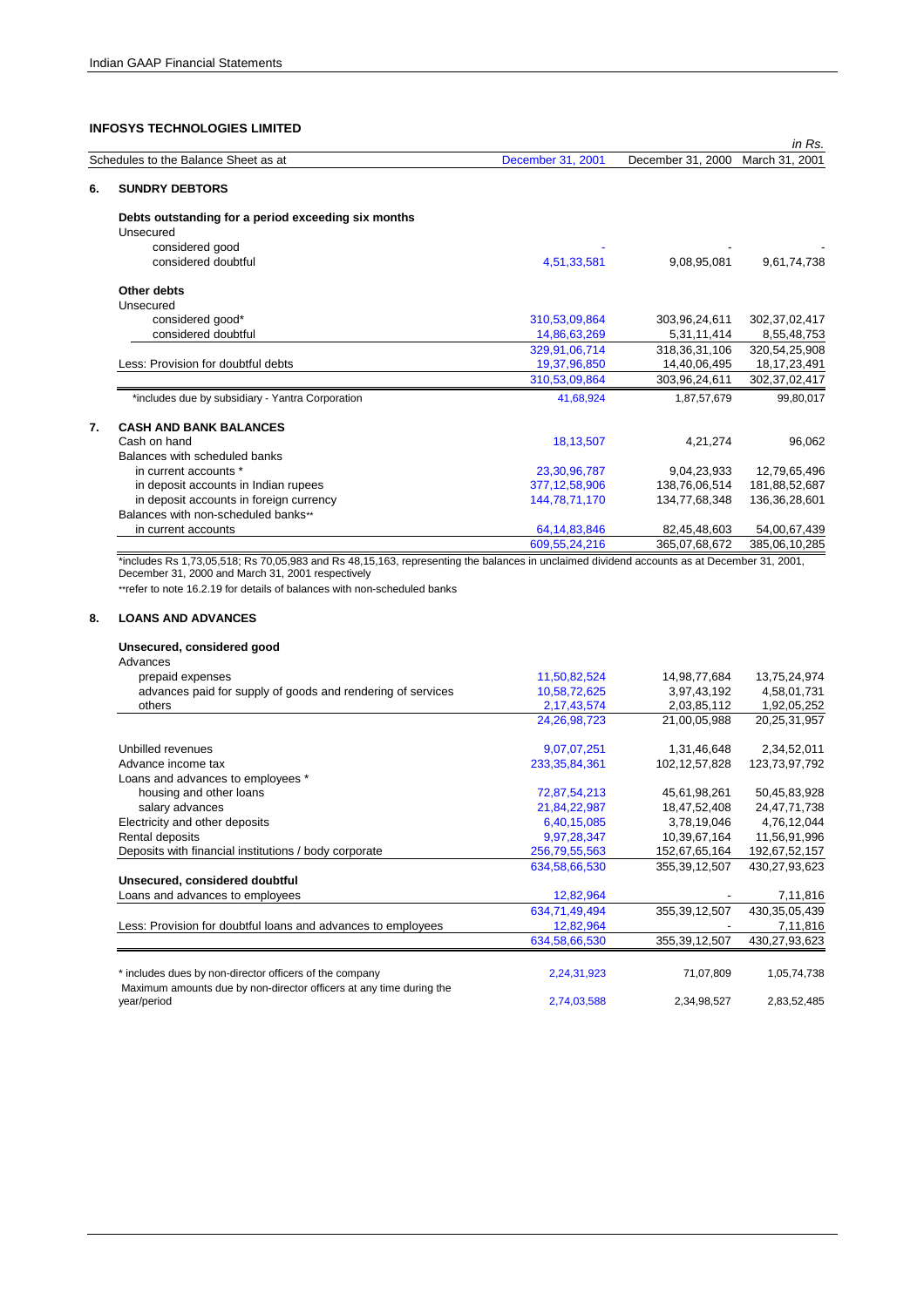|                                                                                                                                                                                                                                                                                                                                                                                                                                                                                                                                                                      |                   |                   | in Rs.           |
|----------------------------------------------------------------------------------------------------------------------------------------------------------------------------------------------------------------------------------------------------------------------------------------------------------------------------------------------------------------------------------------------------------------------------------------------------------------------------------------------------------------------------------------------------------------------|-------------------|-------------------|------------------|
|                                                                                                                                                                                                                                                                                                                                                                                                                                                                                                                                                                      | December 31, 2001 | December 31, 2000 | March 31, 2001   |
| <b>SUNDRY DEBTORS</b>                                                                                                                                                                                                                                                                                                                                                                                                                                                                                                                                                |                   |                   |                  |
| Schedules to the Balance Sheet as at<br>6.<br>Debts outstanding for a period exceeding six months<br>Unsecured<br>considered good<br>considered doubtful<br>Other debts<br>Unsecured<br>considered good*<br>considered doubtful<br>Less: Provision for doubtful debts<br>*includes due by subsidiary - Yantra Corporation<br><b>CASH AND BANK BALANCES</b><br>7.<br>Cash on hand<br>Balances with scheduled banks<br>in current accounts *<br>in deposit accounts in Indian rupees<br>in deposit accounts in foreign currency<br>Balances with non-scheduled banks** |                   |                   |                  |
|                                                                                                                                                                                                                                                                                                                                                                                                                                                                                                                                                                      |                   |                   |                  |
|                                                                                                                                                                                                                                                                                                                                                                                                                                                                                                                                                                      |                   |                   |                  |
|                                                                                                                                                                                                                                                                                                                                                                                                                                                                                                                                                                      | 4,51,33,581       | 9,08,95,081       | 9,61,74,738      |
|                                                                                                                                                                                                                                                                                                                                                                                                                                                                                                                                                                      |                   |                   |                  |
|                                                                                                                                                                                                                                                                                                                                                                                                                                                                                                                                                                      |                   |                   |                  |
|                                                                                                                                                                                                                                                                                                                                                                                                                                                                                                                                                                      | 310,53,09,864     | 303,96,24,611     | 302, 37, 02, 417 |
|                                                                                                                                                                                                                                                                                                                                                                                                                                                                                                                                                                      | 14,86,63,269      | 5,31,11,414       | 8,55,48,753      |
|                                                                                                                                                                                                                                                                                                                                                                                                                                                                                                                                                                      | 329,91,06,714     | 318, 36, 31, 106  | 320,54,25,908    |
|                                                                                                                                                                                                                                                                                                                                                                                                                                                                                                                                                                      | 19,37,96,850      | 14,40,06,495      | 18, 17, 23, 491  |
|                                                                                                                                                                                                                                                                                                                                                                                                                                                                                                                                                                      | 310,53,09,864     | 303,96,24,611     | 302, 37, 02, 417 |
|                                                                                                                                                                                                                                                                                                                                                                                                                                                                                                                                                                      | 41,68,924         | 1,87,57,679       | 99,80,017        |
|                                                                                                                                                                                                                                                                                                                                                                                                                                                                                                                                                                      |                   |                   |                  |
|                                                                                                                                                                                                                                                                                                                                                                                                                                                                                                                                                                      | 18,13,507         | 4,21,274          | 96,062           |
|                                                                                                                                                                                                                                                                                                                                                                                                                                                                                                                                                                      |                   |                   |                  |
|                                                                                                                                                                                                                                                                                                                                                                                                                                                                                                                                                                      | 23,30,96,787      | 9,04,23,933       | 12,79,65,496     |
|                                                                                                                                                                                                                                                                                                                                                                                                                                                                                                                                                                      | 377,12,58,906     | 138,76,06,514     | 181,88,52,687    |
|                                                                                                                                                                                                                                                                                                                                                                                                                                                                                                                                                                      | 144,78,71,170     | 134,77,68,348     | 136, 36, 28, 601 |
|                                                                                                                                                                                                                                                                                                                                                                                                                                                                                                                                                                      |                   |                   |                  |
|                                                                                                                                                                                                                                                                                                                                                                                                                                                                                                                                                                      | 64, 14, 83, 846   | 82,45,48,603      | 54,00,67,439     |
| in current accounts                                                                                                                                                                                                                                                                                                                                                                                                                                                                                                                                                  |                   |                   |                  |

### **Unsecured, considered good**  Advances

| prepaid expenses                                                                   | 11,50,82,524     | 14,98,77,684     | 13,75,24,974     |
|------------------------------------------------------------------------------------|------------------|------------------|------------------|
| advances paid for supply of goods and rendering of services                        | 10,58,72,625     | 3,97,43,192      | 4,58,01,731      |
| others                                                                             | 2,17,43,574      | 2,03,85,112      | 1,92,05,252      |
|                                                                                    | 24, 26, 98, 723  | 21,00,05,988     | 20,25,31,957     |
| Unbilled revenues                                                                  | 9,07,07,251      | 1,31,46,648      | 2,34,52,011      |
| Advance income tax                                                                 | 233, 35, 84, 361 | 102, 12, 57, 828 | 123,73,97,792    |
| Loans and advances to employees *                                                  |                  |                  |                  |
| housing and other loans                                                            | 72,87,54,213     | 45,61,98,261     | 50,45,83,928     |
| salary advances                                                                    | 21,84,22,987     | 18,47,52,408     | 24,47,71,738     |
| Electricity and other deposits                                                     | 6,40,15,085      | 3,78,19,046      | 4,76,12,044      |
| Rental deposits                                                                    | 9,97,28,347      | 10,39,67,164     | 11,56,91,996     |
| Deposits with financial institutions / body corporate                              | 256,79,55,563    | 152,67,65,164    | 192,67,52,157    |
|                                                                                    | 634,58,66,530    | 355, 39, 12, 507 | 430,27,93,623    |
| Unsecured, considered doubtful                                                     |                  |                  |                  |
| Loans and advances to employees                                                    | 12,82,964        |                  | 7,11,816         |
|                                                                                    | 634,71,49,494    | 355, 39, 12, 507 | 430, 35, 05, 439 |
| Less: Provision for doubtful loans and advances to employees                       | 12,82,964        |                  | 7,11,816         |
|                                                                                    | 634,58,66,530    | 355, 39, 12, 507 | 430,27,93,623    |
|                                                                                    |                  |                  |                  |
| * includes dues by non-director officers of the company                            | 2,24,31,923      | 71,07,809        | 1,05,74,738      |
| Maximum amounts due by non-director officers at any time during the<br>year/period | 2,74,03,588      | 2,34,98,527      | 2,83,52,485      |
|                                                                                    |                  |                  |                  |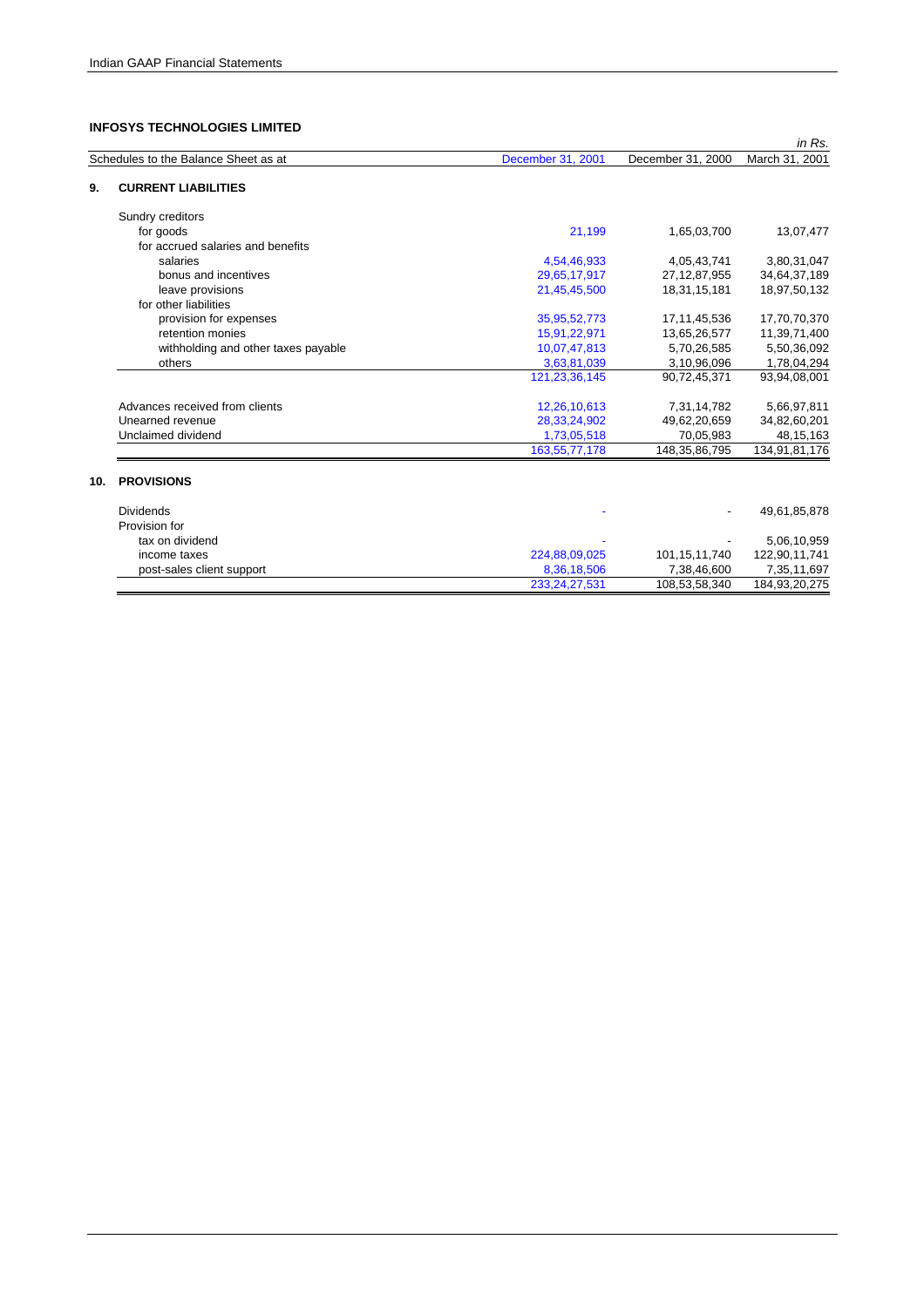| Schedules to the Balance Sheet as at<br>March 31, 2001<br>December 31, 2001<br>December 31, 2000<br><b>CURRENT LIABILITIES</b><br>Sundry creditors<br>for goods<br>21,199<br>1,65,03,700<br>for accrued salaries and benefits<br>salaries<br>4,54,46,933<br>4,05,43,741<br>bonus and incentives<br>29,65,17,917<br>27, 12, 87, 955<br>leave provisions<br>18,31,15,181<br>21,45,45,500<br>for other liabilities<br>provision for expenses<br>35,95,52,773<br>17, 11, 45, 536<br>retention monies<br>15,91,22,971<br>13,65,26,577<br>withholding and other taxes payable<br>10,07,47,813<br>5,70,26,585<br>3,63,81,039<br>3,10,96,096<br>1,78,04,294<br>others<br>121, 23, 36, 145<br>90,72,45,371<br>93,94,08,001<br>Advances received from clients<br>12,26,10,613<br>7,31,14,782<br>5,66,97,811<br>Unearned revenue<br>28,33,24,902<br>49,62,20,659<br>34,82,60,201<br>Unclaimed dividend<br>70,05,983<br>1,73,05,518<br>163, 55, 77, 178<br>148, 35, 86, 795<br><b>PROVISIONS</b><br>10.<br><b>Dividends</b><br>Provision for<br>tax on dividend<br>224,88,09,025<br>122,90,11,741<br>101, 15, 11, 740<br>income taxes<br>8,36,18,506<br>post-sales client support<br>7,38,46,600<br>233, 24, 27, 531<br>108,53,58,340<br>184,93,20,275 |  |  | in Rs.        |
|--------------------------------------------------------------------------------------------------------------------------------------------------------------------------------------------------------------------------------------------------------------------------------------------------------------------------------------------------------------------------------------------------------------------------------------------------------------------------------------------------------------------------------------------------------------------------------------------------------------------------------------------------------------------------------------------------------------------------------------------------------------------------------------------------------------------------------------------------------------------------------------------------------------------------------------------------------------------------------------------------------------------------------------------------------------------------------------------------------------------------------------------------------------------------------------------------------------------------------------------|--|--|---------------|
| 9.                                                                                                                                                                                                                                                                                                                                                                                                                                                                                                                                                                                                                                                                                                                                                                                                                                                                                                                                                                                                                                                                                                                                                                                                                                         |  |  |               |
|                                                                                                                                                                                                                                                                                                                                                                                                                                                                                                                                                                                                                                                                                                                                                                                                                                                                                                                                                                                                                                                                                                                                                                                                                                            |  |  |               |
|                                                                                                                                                                                                                                                                                                                                                                                                                                                                                                                                                                                                                                                                                                                                                                                                                                                                                                                                                                                                                                                                                                                                                                                                                                            |  |  |               |
|                                                                                                                                                                                                                                                                                                                                                                                                                                                                                                                                                                                                                                                                                                                                                                                                                                                                                                                                                                                                                                                                                                                                                                                                                                            |  |  | 13,07,477     |
|                                                                                                                                                                                                                                                                                                                                                                                                                                                                                                                                                                                                                                                                                                                                                                                                                                                                                                                                                                                                                                                                                                                                                                                                                                            |  |  |               |
|                                                                                                                                                                                                                                                                                                                                                                                                                                                                                                                                                                                                                                                                                                                                                                                                                                                                                                                                                                                                                                                                                                                                                                                                                                            |  |  | 3,80,31,047   |
|                                                                                                                                                                                                                                                                                                                                                                                                                                                                                                                                                                                                                                                                                                                                                                                                                                                                                                                                                                                                                                                                                                                                                                                                                                            |  |  | 34,64,37,189  |
|                                                                                                                                                                                                                                                                                                                                                                                                                                                                                                                                                                                                                                                                                                                                                                                                                                                                                                                                                                                                                                                                                                                                                                                                                                            |  |  | 18,97,50,132  |
|                                                                                                                                                                                                                                                                                                                                                                                                                                                                                                                                                                                                                                                                                                                                                                                                                                                                                                                                                                                                                                                                                                                                                                                                                                            |  |  |               |
|                                                                                                                                                                                                                                                                                                                                                                                                                                                                                                                                                                                                                                                                                                                                                                                                                                                                                                                                                                                                                                                                                                                                                                                                                                            |  |  | 17,70,70,370  |
|                                                                                                                                                                                                                                                                                                                                                                                                                                                                                                                                                                                                                                                                                                                                                                                                                                                                                                                                                                                                                                                                                                                                                                                                                                            |  |  | 11,39,71,400  |
|                                                                                                                                                                                                                                                                                                                                                                                                                                                                                                                                                                                                                                                                                                                                                                                                                                                                                                                                                                                                                                                                                                                                                                                                                                            |  |  | 5,50,36,092   |
|                                                                                                                                                                                                                                                                                                                                                                                                                                                                                                                                                                                                                                                                                                                                                                                                                                                                                                                                                                                                                                                                                                                                                                                                                                            |  |  |               |
|                                                                                                                                                                                                                                                                                                                                                                                                                                                                                                                                                                                                                                                                                                                                                                                                                                                                                                                                                                                                                                                                                                                                                                                                                                            |  |  |               |
|                                                                                                                                                                                                                                                                                                                                                                                                                                                                                                                                                                                                                                                                                                                                                                                                                                                                                                                                                                                                                                                                                                                                                                                                                                            |  |  |               |
|                                                                                                                                                                                                                                                                                                                                                                                                                                                                                                                                                                                                                                                                                                                                                                                                                                                                                                                                                                                                                                                                                                                                                                                                                                            |  |  |               |
|                                                                                                                                                                                                                                                                                                                                                                                                                                                                                                                                                                                                                                                                                                                                                                                                                                                                                                                                                                                                                                                                                                                                                                                                                                            |  |  | 48, 15, 163   |
|                                                                                                                                                                                                                                                                                                                                                                                                                                                                                                                                                                                                                                                                                                                                                                                                                                                                                                                                                                                                                                                                                                                                                                                                                                            |  |  | 134,91,81,176 |
|                                                                                                                                                                                                                                                                                                                                                                                                                                                                                                                                                                                                                                                                                                                                                                                                                                                                                                                                                                                                                                                                                                                                                                                                                                            |  |  |               |
|                                                                                                                                                                                                                                                                                                                                                                                                                                                                                                                                                                                                                                                                                                                                                                                                                                                                                                                                                                                                                                                                                                                                                                                                                                            |  |  | 49,61,85,878  |
|                                                                                                                                                                                                                                                                                                                                                                                                                                                                                                                                                                                                                                                                                                                                                                                                                                                                                                                                                                                                                                                                                                                                                                                                                                            |  |  |               |
|                                                                                                                                                                                                                                                                                                                                                                                                                                                                                                                                                                                                                                                                                                                                                                                                                                                                                                                                                                                                                                                                                                                                                                                                                                            |  |  | 5,06,10,959   |
|                                                                                                                                                                                                                                                                                                                                                                                                                                                                                                                                                                                                                                                                                                                                                                                                                                                                                                                                                                                                                                                                                                                                                                                                                                            |  |  |               |
|                                                                                                                                                                                                                                                                                                                                                                                                                                                                                                                                                                                                                                                                                                                                                                                                                                                                                                                                                                                                                                                                                                                                                                                                                                            |  |  | 7,35,11,697   |
|                                                                                                                                                                                                                                                                                                                                                                                                                                                                                                                                                                                                                                                                                                                                                                                                                                                                                                                                                                                                                                                                                                                                                                                                                                            |  |  |               |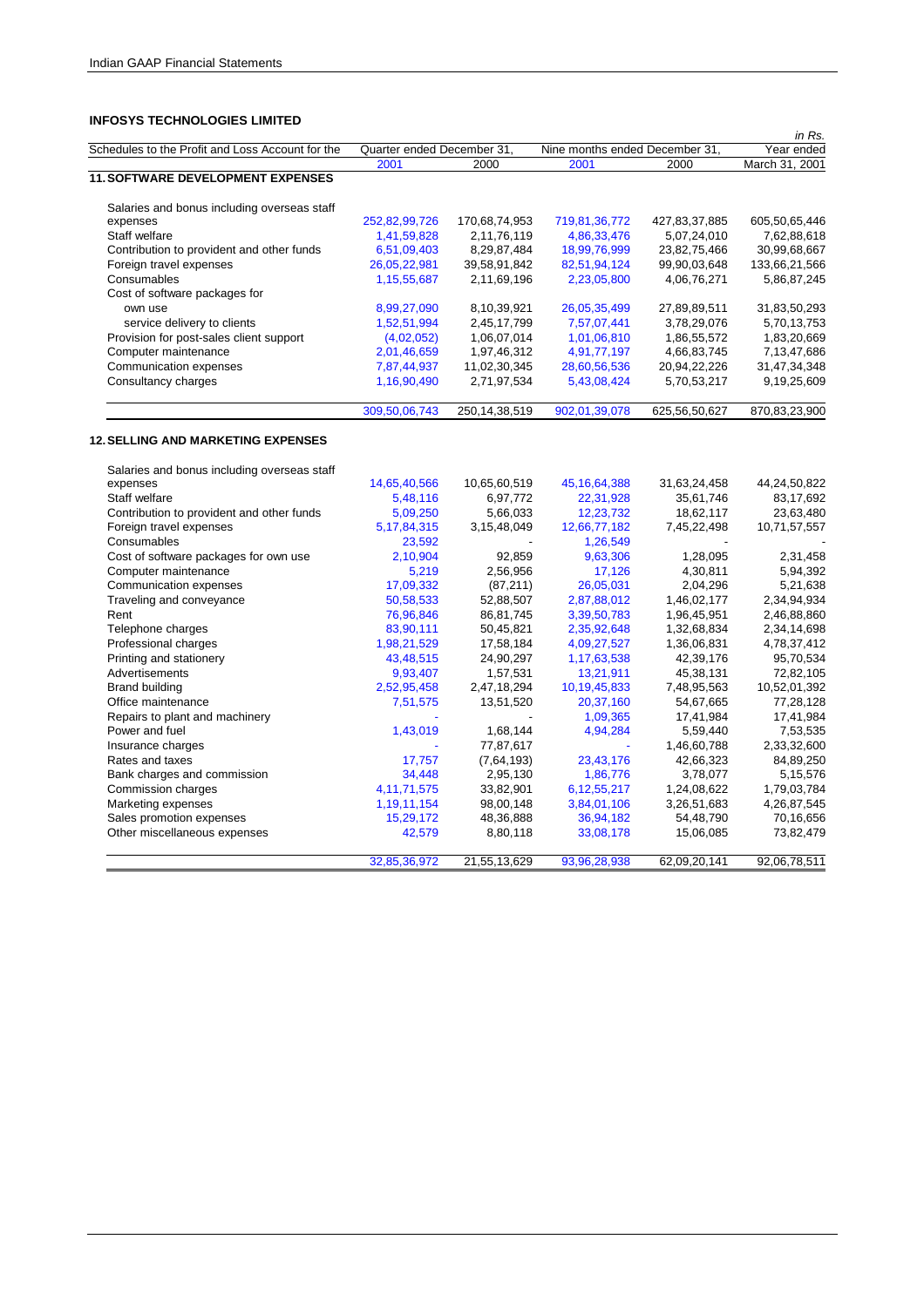| שבו וויום טבוטטבטבוניסטיו טור                    |                            |               |                                |               | in Rs.         |
|--------------------------------------------------|----------------------------|---------------|--------------------------------|---------------|----------------|
| Schedules to the Profit and Loss Account for the | Quarter ended December 31, |               | Nine months ended December 31, |               | Year ended     |
|                                                  | 2001                       | 2000          | 2001                           | 2000          | March 31, 2001 |
| <b>11. SOFTWARE DEVELOPMENT EXPENSES</b>         |                            |               |                                |               |                |
| Salaries and bonus including overseas staff      |                            |               |                                |               |                |
| expenses                                         | 252,82,99,726              | 170,68,74,953 | 719,81,36,772                  | 427,83,37,885 | 605,50,65,446  |
| Staff welfare                                    | 1,41,59,828                | 2,11,76,119   | 4,86,33,476                    | 5,07,24,010   | 7,62,88,618    |
| Contribution to provident and other funds        | 6,51,09,403                | 8,29,87,484   | 18,99,76,999                   | 23,82,75,466  | 30,99,68,667   |
| Foreign travel expenses                          | 26,05,22,981               | 39,58,91,842  | 82,51,94,124                   | 99,90,03,648  | 133,66,21,566  |
| Consumables                                      | 1,15,55,687                | 2,11,69,196   | 2,23,05,800                    | 4,06,76,271   | 5,86,87,245    |
| Cost of software packages for                    |                            |               |                                |               |                |
| own use                                          | 8,99,27,090                | 8,10,39,921   | 26,05,35,499                   | 27,89,89,511  | 31,83,50,293   |
| service delivery to clients                      | 1,52,51,994                | 2,45,17,799   | 7,57,07,441                    | 3,78,29,076   | 5,70,13,753    |
| Provision for post-sales client support          | (4,02,052)                 | 1,06,07,014   | 1,01,06,810                    | 1,86,55,572   | 1,83,20,669    |
| Computer maintenance                             | 2,01,46,659                | 1,97,46,312   | 4,91,77,197                    | 4,66,83,745   | 7,13,47,686    |
| Communication expenses                           | 7,87,44,937                | 11,02,30,345  | 28,60,56,536                   | 20,94,22,226  | 31,47,34,348   |
| Consultancy charges                              | 1,16,90,490                | 2,71,97,534   | 5,43,08,424                    | 5,70,53,217   | 9,19,25,609    |
|                                                  | 309,50,06,743              | 250,14,38,519 | 902,01,39,078                  | 625,56,50,627 | 870,83,23,900  |

# **12. SELLING AND MARKETING EXPENSES**

| Salaries and bonus including overseas staff |                |              |                 |              |              |
|---------------------------------------------|----------------|--------------|-----------------|--------------|--------------|
| expenses                                    | 14,65,40,566   | 10,65,60,519 | 45, 16, 64, 388 | 31,63,24,458 | 44,24,50,822 |
| Staff welfare                               | 5,48,116       | 6,97,772     | 22,31,928       | 35,61,746    | 83,17,692    |
| Contribution to provident and other funds   | 5,09,250       | 5,66,033     | 12,23,732       | 18,62,117    | 23,63,480    |
| Foreign travel expenses                     | 5, 17, 84, 315 | 3,15,48,049  | 12,66,77,182    | 7,45,22,498  | 10,71,57,557 |
| Consumables                                 | 23,592         |              | 1,26,549        |              |              |
| Cost of software packages for own use       | 2,10,904       | 92,859       | 9,63,306        | 1,28,095     | 2,31,458     |
| Computer maintenance                        | 5,219          | 2,56,956     | 17,126          | 4,30,811     | 5,94,392     |
| Communication expenses                      | 17,09,332      | (87, 211)    | 26,05,031       | 2,04,296     | 5,21,638     |
| Traveling and conveyance                    | 50,58,533      | 52,88,507    | 2,87,88,012     | 1,46,02,177  | 2,34,94,934  |
| Rent                                        | 76,96,846      | 86,81,745    | 3,39,50,783     | 1,96,45,951  | 2,46,88,860  |
| Telephone charges                           | 83,90,111      | 50,45,821    | 2,35,92,648     | 1,32,68,834  | 2,34,14,698  |
| Professional charges                        | 1,98,21,529    | 17,58,184    | 4,09,27,527     | 1,36,06,831  | 4,78,37,412  |
| Printing and stationery                     | 43,48,515      | 24,90,297    | 1,17,63,538     | 42,39,176    | 95,70,534    |
| Advertisements                              | 9,93,407       | 1,57,531     | 13,21,911       | 45,38,131    | 72,82,105    |
| <b>Brand building</b>                       | 2,52,95,458    | 2,47,18,294  | 10,19,45,833    | 7,48,95,563  | 10,52,01,392 |
| Office maintenance                          | 7,51,575       | 13,51,520    | 20,37,160       | 54,67,665    | 77,28,128    |
| Repairs to plant and machinery              |                |              | 1,09,365        | 17,41,984    | 17,41,984    |
| Power and fuel                              | 1,43,019       | 1,68,144     | 4,94,284        | 5,59,440     | 7,53,535     |
| Insurance charges                           |                | 77,87,617    |                 | 1,46,60,788  | 2,33,32,600  |
| Rates and taxes                             | 17,757         | (7,64,193)   | 23,43,176       | 42,66,323    | 84,89,250    |
| Bank charges and commission                 | 34,448         | 2,95,130     | 1,86,776        | 3,78,077     | 5,15,576     |
| Commission charges                          | 4, 11, 71, 575 | 33,82,901    | 6, 12, 55, 217  | 1,24,08,622  | 1,79,03,784  |
| Marketing expenses                          | 1, 19, 11, 154 | 98,00,148    | 3,84,01,106     | 3,26,51,683  | 4,26,87,545  |
| Sales promotion expenses                    | 15,29,172      | 48,36,888    | 36,94,182       | 54,48,790    | 70,16,656    |
| Other miscellaneous expenses                | 42,579         | 8,80,118     | 33,08,178       | 15,06,085    | 73,82,479    |
|                                             | 32,85,36,972   | 21,55,13,629 | 93,96,28,938    | 62,09,20,141 | 92,06,78,511 |